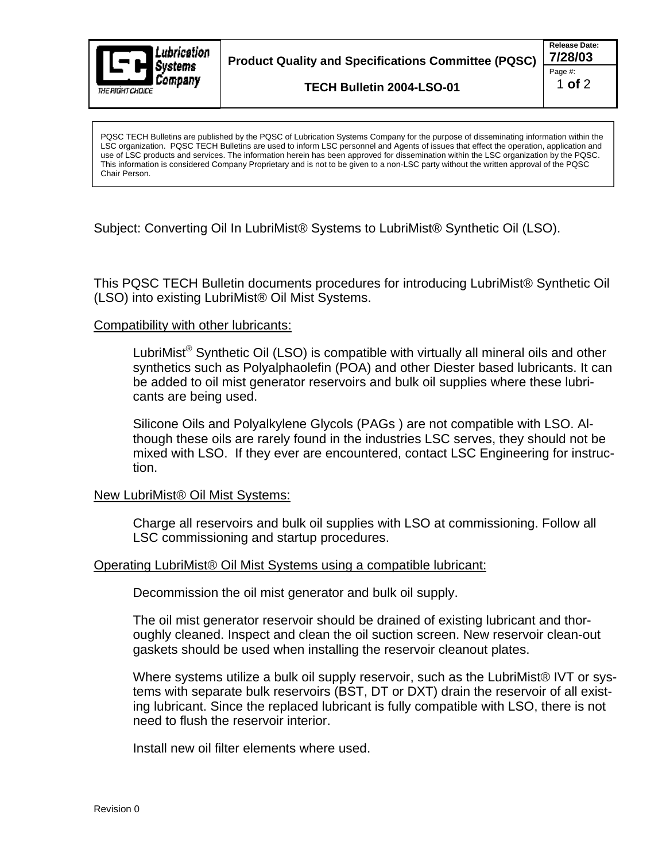

LSC organization. PQSC TECH Bulletins are used to inform LSC personnel and Agents of issues that effect the operation, application and use of LSC products and services. The information herein has been approved for dissemination within the LSC organization by the PQSC. This information is considered Company Proprietary and is not to be given to a non-LSC party without the written approval of the PQSC Chair Person.

Subject: Converting Oil In LubriMist® Systems to LubriMist® Synthetic Oil (LSO).

This PQSC TECH Bulletin documents procedures for introducing LubriMist® SyntheticOil (LSO) into existing LubriMist® Oil Mist Systems.

## Compatibility with other lubricants:

LubriMist $^{\circledR}$  Synthetic Oil (LSO) is compatible with virtually all mineral oils and other synthetics such as Polyalphaolefin (POA) and other Diester based lubricants. It can be added to oil mist generator reservoirs and bulk oil supplies where these lubri cants are being used.

Silicone Oils and Polyalkylene Glycols (PAGs ) are not compatible with LSO. Although these oils are rarely found in the industries LSC serves, they should not be mixed with LSO. If they ever are encountered, contact LSC Engineering for instruction.

## New LubriMist® Oil Mist Systems:

Charge all reservoirs and bulk oil supplies with LSO at commissioning. Follow all LSC commissioning and startup procedures.

## Operating LubriMist® Oil Mist Systems using a compatible lubricant:

Decommission the oil mist generator and bulk oil supply.

The oil mist generator reservoir should be drained of existing lubricant and thoroughly cleaned. Inspect and clean the oil suction screen. New reservoir clean-out gaskets should be used when installing the reservoir cleanout plates.

Where systems utilize a bulk oil supply reservoir, such as the LubriMist® IVT or systems with separate bulk reservoirs (BST, DT or DXT) drain the reservoir of all existing lubricant. Since the replaced lubricant is fully compatible with LSO, there is not need to flush the reservoir interior. Install the purpose increases where the state of the purpose of dissemination are purposed. Policies where the purpose of the PLAC of Lubrication Systems where the purpose of the PLAC of Lubrication Systems where the purpo